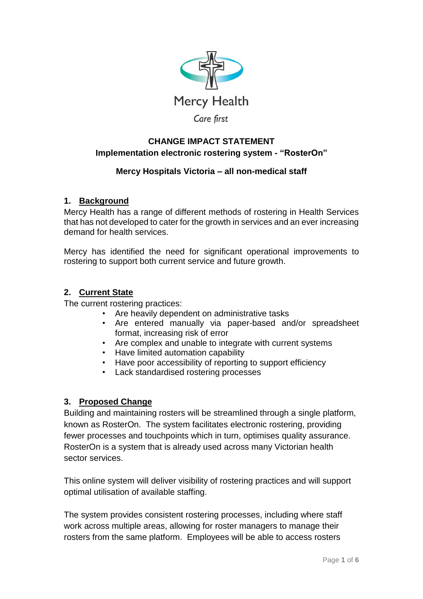

### **CHANGE IMPACT STATEMENT Implementation electronic rostering system - "RosterOn"**

# **Mercy Hospitals Victoria – all non-medical staff**

### **1. Background**

Mercy Health has a range of different methods of rostering in Health Services that has not developed to cater for the growth in services and an ever increasing demand for health services.

Mercy has identified the need for significant operational improvements to rostering to support both current service and future growth.

### **2. Current State**

The current rostering practices:

- Are heavily dependent on administrative tasks
- Are entered manually via paper-based and/or spreadsheet format, increasing risk of error
- Are complex and unable to integrate with current systems
- Have limited automation capability
- Have poor accessibility of reporting to support efficiency
- Lack standardised rostering processes

# **3. Proposed Change**

Building and maintaining rosters will be streamlined through a single platform, known as RosterOn. The system facilitates electronic rostering, providing fewer processes and touchpoints which in turn, optimises quality assurance. RosterOn is a system that is already used across many Victorian health sector services.

This online system will deliver visibility of rostering practices and will support optimal utilisation of available staffing.

The system provides consistent rostering processes, including where staff work across multiple areas, allowing for roster managers to manage their rosters from the same platform. Employees will be able to access rosters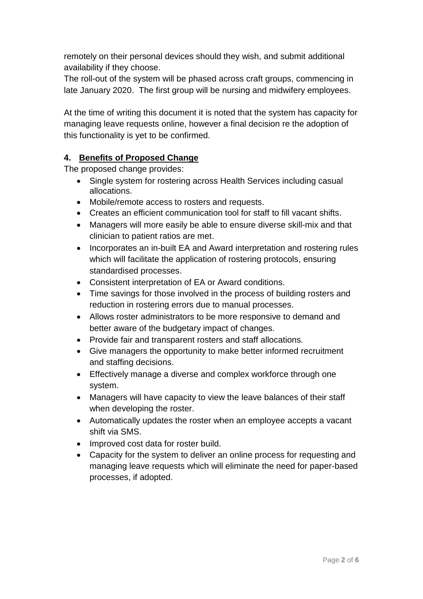remotely on their personal devices should they wish, and submit additional availability if they choose.

The roll-out of the system will be phased across craft groups, commencing in late January 2020. The first group will be nursing and midwifery employees.

At the time of writing this document it is noted that the system has capacity for managing leave requests online, however a final decision re the adoption of this functionality is yet to be confirmed.

### **4. Benefits of Proposed Change**

The proposed change provides:

- Single system for rostering across Health Services including casual allocations.
- Mobile/remote access to rosters and requests.
- Creates an efficient communication tool for staff to fill vacant shifts.
- Managers will more easily be able to ensure diverse skill-mix and that clinician to patient ratios are met.
- Incorporates an in-built EA and Award interpretation and rostering rules which will facilitate the application of rostering protocols, ensuring standardised processes.
- Consistent interpretation of EA or Award conditions.
- Time savings for those involved in the process of building rosters and reduction in rostering errors due to manual processes.
- Allows roster administrators to be more responsive to demand and better aware of the budgetary impact of changes.
- Provide fair and transparent rosters and staff allocations.
- Give managers the opportunity to make better informed recruitment and staffing decisions.
- Effectively manage a diverse and complex workforce through one system.
- Managers will have capacity to view the leave balances of their staff when developing the roster.
- Automatically updates the roster when an employee accepts a vacant shift via SMS.
- Improved cost data for roster build.
- Capacity for the system to deliver an online process for requesting and managing leave requests which will eliminate the need for paper-based processes, if adopted.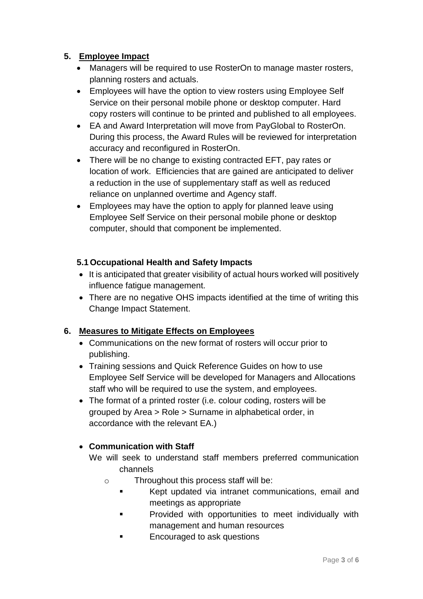## **5. Employee Impact**

- Managers will be required to use RosterOn to manage master rosters, planning rosters and actuals.
- Employees will have the option to view rosters using Employee Self Service on their personal mobile phone or desktop computer. Hard copy rosters will continue to be printed and published to all employees.
- EA and Award Interpretation will move from PayGlobal to RosterOn. During this process, the Award Rules will be reviewed for interpretation accuracy and reconfigured in RosterOn.
- There will be no change to existing contracted EFT, pay rates or location of work. Efficiencies that are gained are anticipated to deliver a reduction in the use of supplementary staff as well as reduced reliance on unplanned overtime and Agency staff.
- Employees may have the option to apply for planned leave using Employee Self Service on their personal mobile phone or desktop computer, should that component be implemented.

#### **5.1 Occupational Health and Safety Impacts**

- It is anticipated that greater visibility of actual hours worked will positively influence fatigue management.
- There are no negative OHS impacts identified at the time of writing this Change Impact Statement.

#### **6. Measures to Mitigate Effects on Employees**

- Communications on the new format of rosters will occur prior to publishing.
- Training sessions and Quick Reference Guides on how to use Employee Self Service will be developed for Managers and Allocations staff who will be required to use the system, and employees.
- The format of a printed roster (i.e. colour coding, rosters will be grouped by Area > Role > Surname in alphabetical order, in accordance with the relevant EA.)

#### **Communication with Staff**

- We will seek to understand staff members preferred communication channels
	- o Throughout this process staff will be:
		- Kept updated via intranet communications, email and meetings as appropriate
		- **Provided with opportunities to meet individually with** management and human resources
		- **Encouraged to ask questions**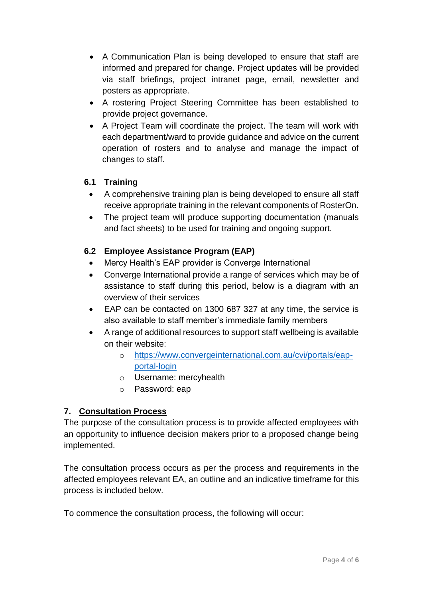- A Communication Plan is being developed to ensure that staff are informed and prepared for change. Project updates will be provided via staff briefings, project intranet page, email, newsletter and posters as appropriate.
- A rostering Project Steering Committee has been established to provide project governance.
- A Project Team will coordinate the project. The team will work with each department/ward to provide guidance and advice on the current operation of rosters and to analyse and manage the impact of changes to staff.

### **6.1 Training**

- A comprehensive training plan is being developed to ensure all staff receive appropriate training in the relevant components of RosterOn.
- The project team will produce supporting documentation (manuals and fact sheets) to be used for training and ongoing support.

### **6.2 Employee Assistance Program (EAP)**

- Mercy Health's EAP provider is Converge International
- Converge International provide a range of services which may be of assistance to staff during this period, below is a diagram with an overview of their services
- EAP can be contacted on 1300 687 327 at any time, the service is also available to staff member's immediate family members
- A range of additional resources to support staff wellbeing is available on their website:
	- o [https://www.convergeinternational.com.au/cvi/portals/eap](https://www.convergeinternational.com.au/cvi/portals/eap-portal-login)[portal-login](https://www.convergeinternational.com.au/cvi/portals/eap-portal-login)
	- o Username: mercyhealth
	- o Password: eap

# **7. Consultation Process**

The purpose of the consultation process is to provide affected employees with an opportunity to influence decision makers prior to a proposed change being implemented.

The consultation process occurs as per the process and requirements in the affected employees relevant EA, an outline and an indicative timeframe for this process is included below.

To commence the consultation process, the following will occur: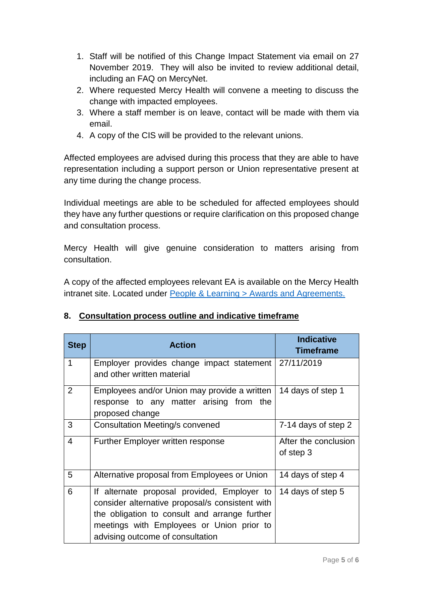- 1. Staff will be notified of this Change Impact Statement via email on 27 November 2019. They will also be invited to review additional detail, including an FAQ on MercyNet.
- 2. Where requested Mercy Health will convene a meeting to discuss the change with impacted employees.
- 3. Where a staff member is on leave, contact will be made with them via email.
- 4. A copy of the CIS will be provided to the relevant unions.

Affected employees are advised during this process that they are able to have representation including a support person or Union representative present at any time during the change process.

Individual meetings are able to be scheduled for affected employees should they have any further questions or require clarification on this proposed change and consultation process.

Mercy Health will give genuine consideration to matters arising from consultation.

A copy of the affected employees relevant EA is available on the Mercy Health intranet site. Located under [People & Learning > Awards and Agreements.](https://intranet.mercyhealth.com.au/people-learning/Pages/Awards%20and%20Agreements.aspx)

# **8. Consultation process outline and indicative timeframe**

| <b>Step</b>             | <b>Action</b>                                                                                                                                                                                                                    | <b>Indicative</b><br><b>Timeframe</b> |
|-------------------------|----------------------------------------------------------------------------------------------------------------------------------------------------------------------------------------------------------------------------------|---------------------------------------|
| 1                       | Employer provides change impact statement 27/11/2019<br>and other written material                                                                                                                                               |                                       |
| 2                       | Employees and/or Union may provide a written<br>response to any matter arising from the<br>proposed change                                                                                                                       | 14 days of step 1                     |
| 3                       | <b>Consultation Meeting/s convened</b>                                                                                                                                                                                           | 7-14 days of step 2                   |
| $\overline{\mathbf{4}}$ | Further Employer written response                                                                                                                                                                                                | After the conclusion<br>of step 3     |
| 5                       | Alternative proposal from Employees or Union                                                                                                                                                                                     | 14 days of step 4                     |
| 6                       | If alternate proposal provided, Employer to<br>consider alternative proposal/s consistent with<br>the obligation to consult and arrange further<br>meetings with Employees or Union prior to<br>advising outcome of consultation | 14 days of step 5                     |